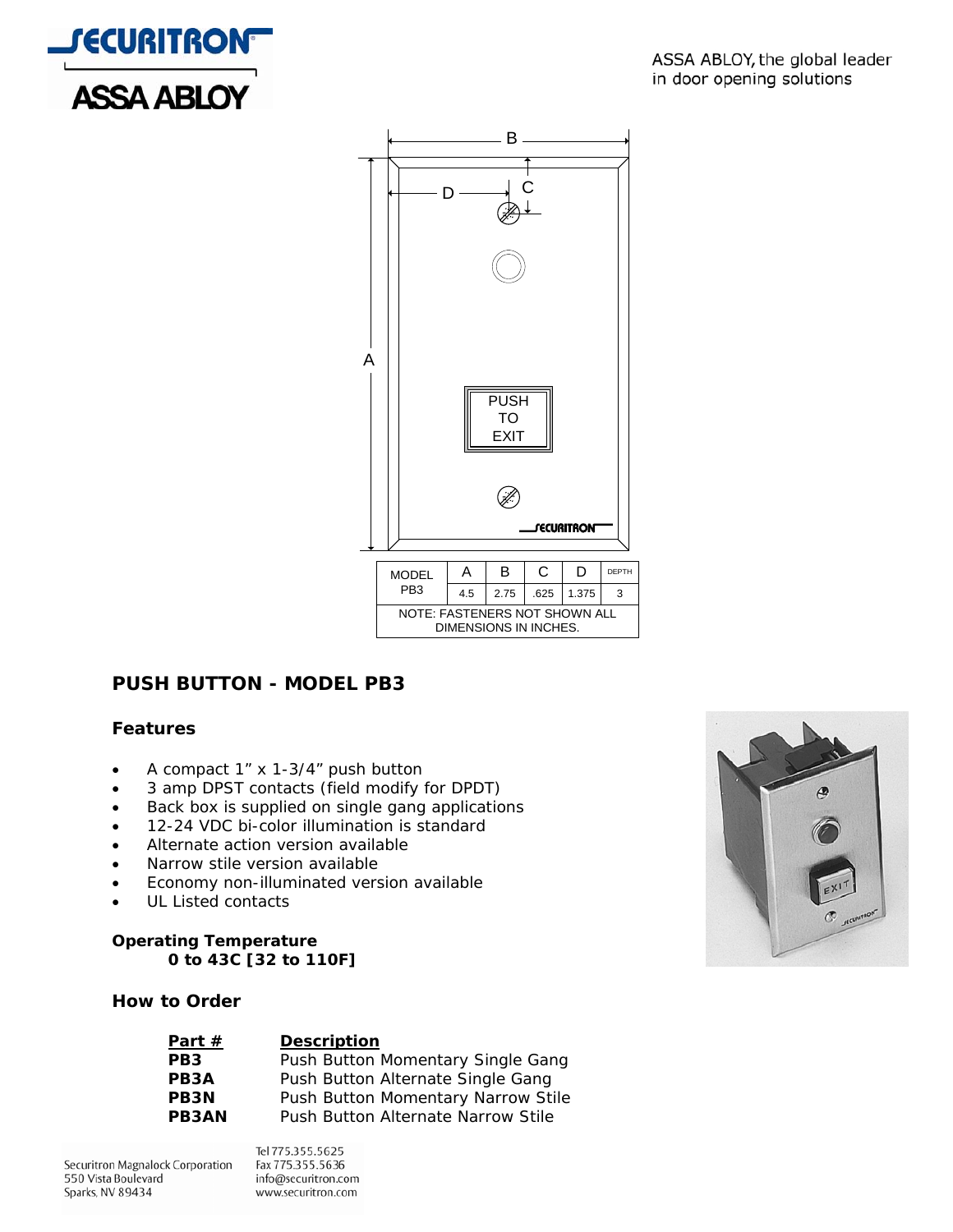



# **PUSH BUTTON - MODEL PB3**

### **Features**

- A compact 1" x 1-3/4" push button
- 3 amp DPST contacts (field modify for DPDT)
- Back box is supplied on single gang applications
- 12-24 VDC bi-color illumination is standard
- Alternate action version available
- Narrow stile version available
- Economy non-illuminated version available
- UL Listed contacts

#### **Operating Temperature 0 to 43C [32 to 110F]**

## **How to Order**

| Part $#$          | <b>Description</b>                 |
|-------------------|------------------------------------|
| PB <sub>3</sub>   | Push Button Momentary Single Gang  |
| PB <sub>3</sub> A | Push Button Alternate Single Gang  |
| <b>PB3N</b>       | Push Button Momentary Narrow Stile |
| <b>PB3AN</b>      | Push Button Alternate Narrow Stile |

Securitron Magnalock Corporation 550 Vista Boulevard Sparks, NV 89434

Tel 775.355.5625 Fax 775.355.5636 info@securitron.com www.securitron.com